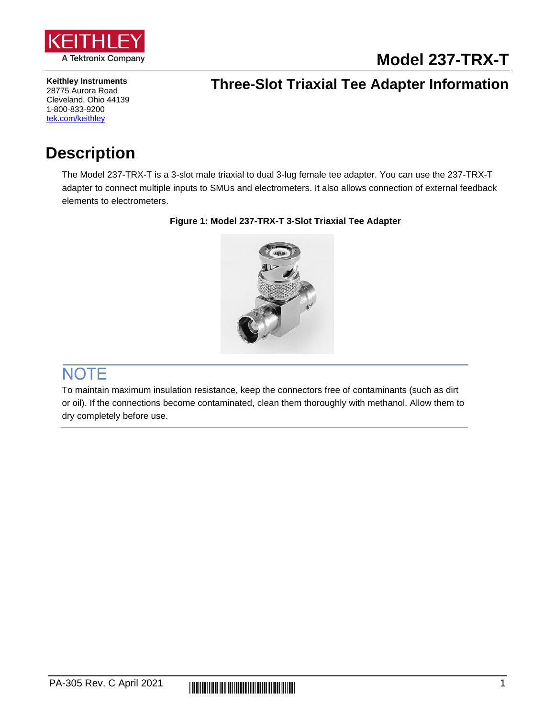

### **Model 237-TRX-T**

**Keithley Instruments** 28775 Aurora Road Cleveland, Ohio 44139 1-800-833-9200 [tek.com/keithley](https://www.tek.com/keithley)

#### **Three-Slot Triaxial Tee Adapter Information**

## **Description**

The Model 237-TRX-T is a 3-slot male triaxial to dual 3-lug female tee adapter. You can use the 237-TRX-T adapter to connect multiple inputs to SMUs and electrometers. It also allows connection of external feedback elements to electrometers.

#### **Figure 1: Model 237-TRX-T 3-Slot Triaxial Tee Adapter**



### **NOTE**

To maintain maximum insulation resistance, keep the connectors free of contaminants (such as dirt or oil). If the connections become contaminated, clean them thoroughly with methanol. Allow them to dry completely before use.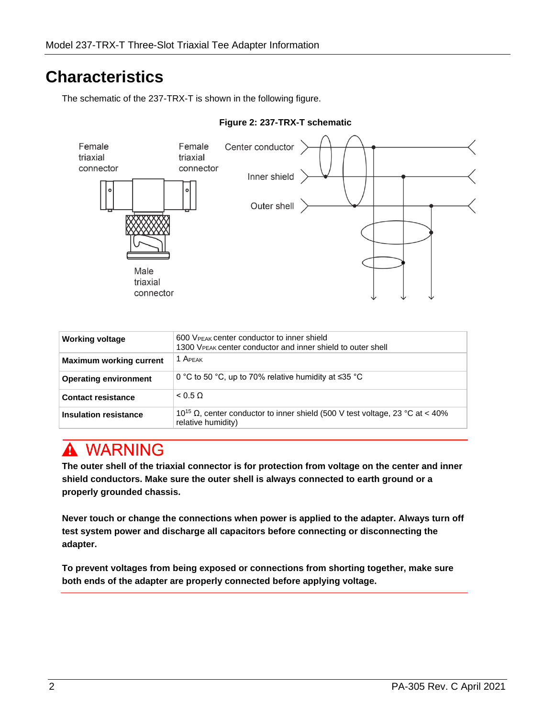## **Characteristics**

The schematic of the 237-TRX-T is shown in the following figure.



#### **Figure 2: 237-TRX-T schematic**

| <b>Working voltage</b>         | 600 V <sub>PEAK</sub> center conductor to inner shield<br>1300 V <sub>PEAK</sub> center conductor and inner shield to outer shell |
|--------------------------------|-----------------------------------------------------------------------------------------------------------------------------------|
| <b>Maximum working current</b> | 1 APFAK                                                                                                                           |
| <b>Operating environment</b>   | 0 °C to 50 °C, up to 70% relative humidity at ≤35 °C                                                                              |
| <b>Contact resistance</b>      | $< 0.5 \Omega$                                                                                                                    |
| Insulation resistance          | 10 <sup>15</sup> Ω, center conductor to inner shield (500 V test voltage, 23 °C at < 40%<br>relative humidity)                    |

# **A WARNING**

**The outer shell of the triaxial connector is for protection from voltage on the center and inner shield conductors. Make sure the outer shell is always connected to earth ground or a properly grounded chassis.**

**Never touch or change the connections when power is applied to the adapter. Always turn off test system power and discharge all capacitors before connecting or disconnecting the adapter.**

**To prevent voltages from being exposed or connections from shorting together, make sure both ends of the adapter are properly connected before applying voltage.**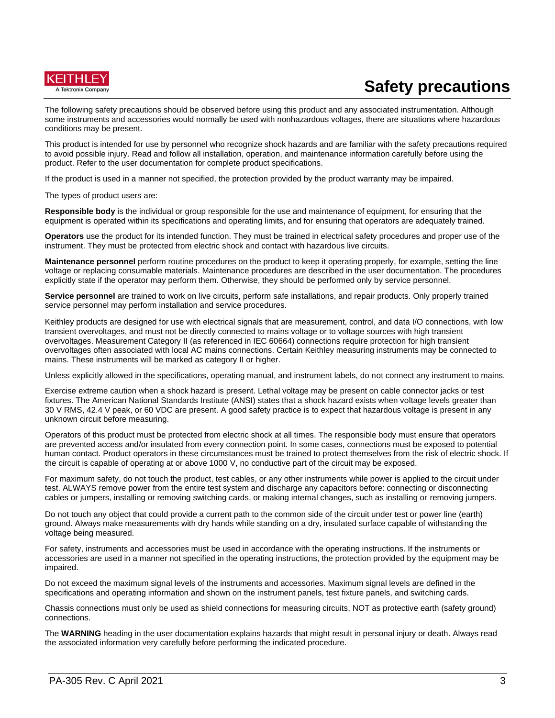

## **Safety precautions**

The following safety precautions should be observed before using this product and any associated instrumentation. Although some instruments and accessories would normally be used with nonhazardous voltages, there are situations where hazardous conditions may be present.

This product is intended for use by personnel who recognize shock hazards and are familiar with the safety precautions required to avoid possible injury. Read and follow all installation, operation, and maintenance information carefully before using the product. Refer to the user documentation for complete product specifications.

If the product is used in a manner not specified, the protection provided by the product warranty may be impaired.

The types of product users are:

**Responsible body** is the individual or group responsible for the use and maintenance of equipment, for ensuring that the equipment is operated within its specifications and operating limits, and for ensuring that operators are adequately trained.

**Operators** use the product for its intended function. They must be trained in electrical safety procedures and proper use of the instrument. They must be protected from electric shock and contact with hazardous live circuits.

**Maintenance personnel** perform routine procedures on the product to keep it operating properly, for example, setting the line voltage or replacing consumable materials. Maintenance procedures are described in the user documentation. The procedures explicitly state if the operator may perform them. Otherwise, they should be performed only by service personnel.

**Service personnel** are trained to work on live circuits, perform safe installations, and repair products. Only properly trained service personnel may perform installation and service procedures.

Keithley products are designed for use with electrical signals that are measurement, control, and data I/O connections, with low transient overvoltages, and must not be directly connected to mains voltage or to voltage sources with high transient overvoltages. Measurement Category II (as referenced in IEC 60664) connections require protection for high transient overvoltages often associated with local AC mains connections. Certain Keithley measuring instruments may be connected to mains. These instruments will be marked as category II or higher.

Unless explicitly allowed in the specifications, operating manual, and instrument labels, do not connect any instrument to mains.

Exercise extreme caution when a shock hazard is present. Lethal voltage may be present on cable connector jacks or test fixtures. The American National Standards Institute (ANSI) states that a shock hazard exists when voltage levels greater than 30 V RMS, 42.4 V peak, or 60 VDC are present. A good safety practice is to expect that hazardous voltage is present in any unknown circuit before measuring.

Operators of this product must be protected from electric shock at all times. The responsible body must ensure that operators are prevented access and/or insulated from every connection point. In some cases, connections must be exposed to potential human contact. Product operators in these circumstances must be trained to protect themselves from the risk of electric shock. If the circuit is capable of operating at or above 1000 V, no conductive part of the circuit may be exposed.

For maximum safety, do not touch the product, test cables, or any other instruments while power is applied to the circuit under test. ALWAYS remove power from the entire test system and discharge any capacitors before: connecting or disconnecting cables or jumpers, installing or removing switching cards, or making internal changes, such as installing or removing jumpers.

Do not touch any object that could provide a current path to the common side of the circuit under test or power line (earth) ground. Always make measurements with dry hands while standing on a dry, insulated surface capable of withstanding the voltage being measured.

For safety, instruments and accessories must be used in accordance with the operating instructions. If the instruments or accessories are used in a manner not specified in the operating instructions, the protection provided by the equipment may be impaired.

Do not exceed the maximum signal levels of the instruments and accessories. Maximum signal levels are defined in the specifications and operating information and shown on the instrument panels, test fixture panels, and switching cards.

Chassis connections must only be used as shield connections for measuring circuits, NOT as protective earth (safety ground) connections.

The **WARNING** heading in the user documentation explains hazards that might result in personal injury or death. Always read the associated information very carefully before performing the indicated procedure.